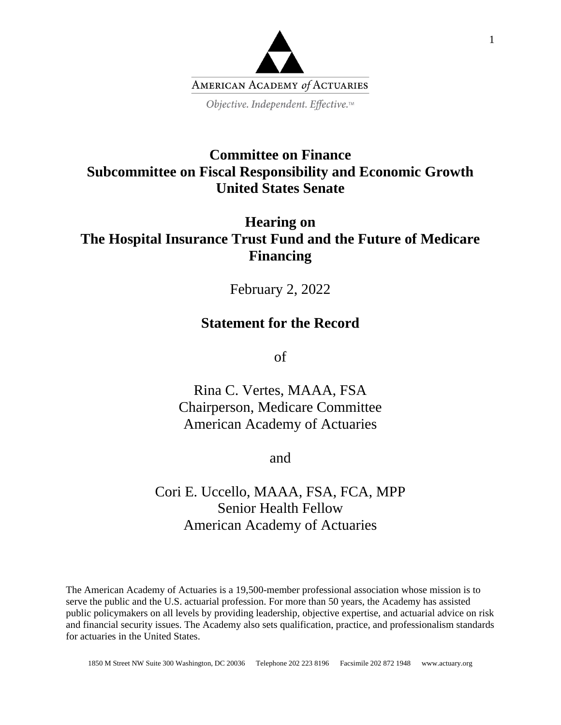

# **Committee on Finance Subcommittee on Fiscal Responsibility and Economic Growth United States Senate**

# **Hearing on The Hospital Insurance Trust Fund and the Future of Medicare Financing**

February 2, 2022

### **Statement for the Record**

of

Rina C. Vertes, MAAA, FSA Chairperson, Medicare Committee American Academy of Actuaries

and

# Cori E. Uccello, MAAA, FSA, FCA, MPP Senior Health Fellow American Academy of Actuaries

The American Academy of Actuaries is a 19,500-member professional association whose mission is to serve the public and the U.S. actuarial profession. For more than 50 years, the Academy has assisted public policymakers on all levels by providing leadership, objective expertise, and actuarial advice on risk and financial security issues. The Academy also sets qualification, practice, and professionalism standards for actuaries in the United States.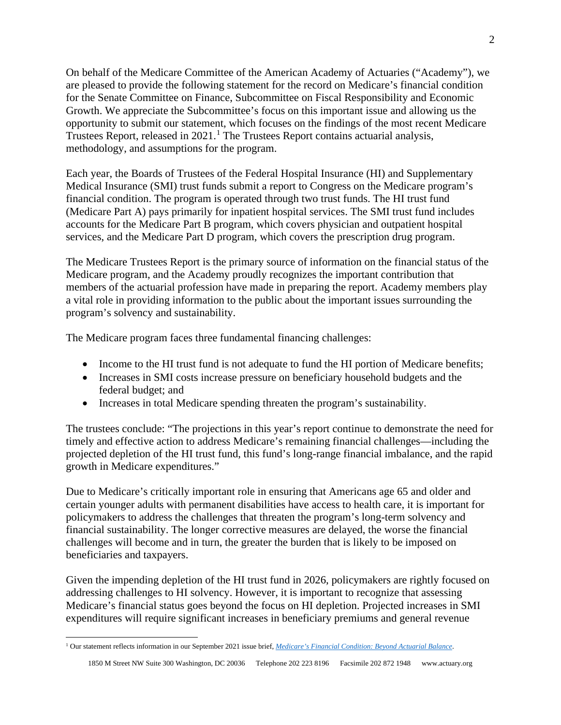On behalf of the Medicare Committee of the American Academy of Actuaries ("Academy"), we are pleased to provide the following statement for the record on Medicare's financial condition for the Senate Committee on Finance, Subcommittee on Fiscal Responsibility and Economic Growth. We appreciate the Subcommittee's focus on this important issue and allowing us the opportunity to submit our statement, which focuses on the findings of the most recent Medicare Trustees Report, released in  $2021$  $2021$ .<sup>1</sup> The Trustees Report contains actuarial analysis, methodology, and assumptions for the program.

Each year, the Boards of Trustees of the Federal Hospital Insurance (HI) and Supplementary Medical Insurance (SMI) trust funds submit a report to Congress on the Medicare program's financial condition. The program is operated through two trust funds. The HI trust fund (Medicare Part A) pays primarily for inpatient hospital services. The SMI trust fund includes accounts for the Medicare Part B program, which covers physician and outpatient hospital services, and the Medicare Part D program, which covers the prescription drug program.

The Medicare Trustees Report is the primary source of information on the financial status of the Medicare program, and the Academy proudly recognizes the important contribution that members of the actuarial profession have made in preparing the report. Academy members play a vital role in providing information to the public about the important issues surrounding the program's solvency and sustainability.

The Medicare program faces three fundamental financing challenges:

- Income to the HI trust fund is not adequate to fund the HI portion of Medicare benefits;
- Increases in SMI costs increase pressure on beneficiary household budgets and the federal budget; and
- Increases in total Medicare spending threaten the program's sustainability.

The trustees conclude: "The projections in this year's report continue to demonstrate the need for timely and effective action to address Medicare's remaining financial challenges—including the projected depletion of the HI trust fund, this fund's long-range financial imbalance, and the rapid growth in Medicare expenditures."

Due to Medicare's critically important role in ensuring that Americans age 65 and older and certain younger adults with permanent disabilities have access to health care, it is important for policymakers to address the challenges that threaten the program's long-term solvency and financial sustainability. The longer corrective measures are delayed, the worse the financial challenges will become and in turn, the greater the burden that is likely to be imposed on beneficiaries and taxpayers.

Given the impending depletion of the HI trust fund in 2026, policymakers are rightly focused on addressing challenges to HI solvency. However, it is important to recognize that assessing Medicare's financial status goes beyond the focus on HI depletion. Projected increases in SMI expenditures will require significant increases in beneficiary premiums and general revenue

<span id="page-1-0"></span><sup>1</sup> Our statement reflects information in our September 2021 issue brief, *[Medicare's Financial Condition: Beyond Actuarial Balance](https://www.actuary.org/sites/default/files/2021-09/MedTrustees_IB_9.21.pdf)*.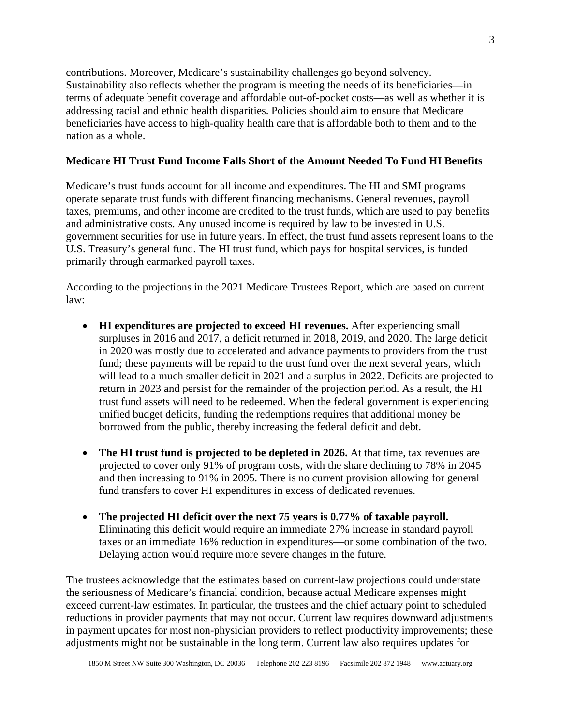contributions. Moreover, Medicare's sustainability challenges go beyond solvency. Sustainability also reflects whether the program is meeting the needs of its beneficiaries—in terms of adequate benefit coverage and affordable out-of-pocket costs—as well as whether it is addressing racial and ethnic health disparities. Policies should aim to ensure that Medicare beneficiaries have access to high-quality health care that is affordable both to them and to the nation as a whole.

#### **Medicare HI Trust Fund Income Falls Short of the Amount Needed To Fund HI Benefits**

Medicare's trust funds account for all income and expenditures. The HI and SMI programs operate separate trust funds with different financing mechanisms. General revenues, payroll taxes, premiums, and other income are credited to the trust funds, which are used to pay benefits and administrative costs. Any unused income is required by law to be invested in U.S. government securities for use in future years. In effect, the trust fund assets represent loans to the U.S. Treasury's general fund. The HI trust fund, which pays for hospital services, is funded primarily through earmarked payroll taxes.

According to the projections in the 2021 Medicare Trustees Report, which are based on current law:

- **HI expenditures are projected to exceed HI revenues.** After experiencing small surpluses in 2016 and 2017, a deficit returned in 2018, 2019, and 2020. The large deficit in 2020 was mostly due to accelerated and advance payments to providers from the trust fund; these payments will be repaid to the trust fund over the next several years, which will lead to a much smaller deficit in 2021 and a surplus in 2022. Deficits are projected to return in 2023 and persist for the remainder of the projection period. As a result, the HI trust fund assets will need to be redeemed. When the federal government is experiencing unified budget deficits, funding the redemptions requires that additional money be borrowed from the public, thereby increasing the federal deficit and debt.
- **The HI trust fund is projected to be depleted in 2026.** At that time, tax revenues are projected to cover only 91% of program costs, with the share declining to 78% in 2045 and then increasing to 91% in 2095. There is no current provision allowing for general fund transfers to cover HI expenditures in excess of dedicated revenues.
- **The projected HI deficit over the next 75 years is 0.77% of taxable payroll.** Eliminating this deficit would require an immediate 27% increase in standard payroll taxes or an immediate 16% reduction in expenditures—or some combination of the two. Delaying action would require more severe changes in the future.

The trustees acknowledge that the estimates based on current-law projections could understate the seriousness of Medicare's financial condition, because actual Medicare expenses might exceed current-law estimates. In particular, the trustees and the chief actuary point to scheduled reductions in provider payments that may not occur. Current law requires downward adjustments in payment updates for most non-physician providers to reflect productivity improvements; these adjustments might not be sustainable in the long term. Current law also requires updates for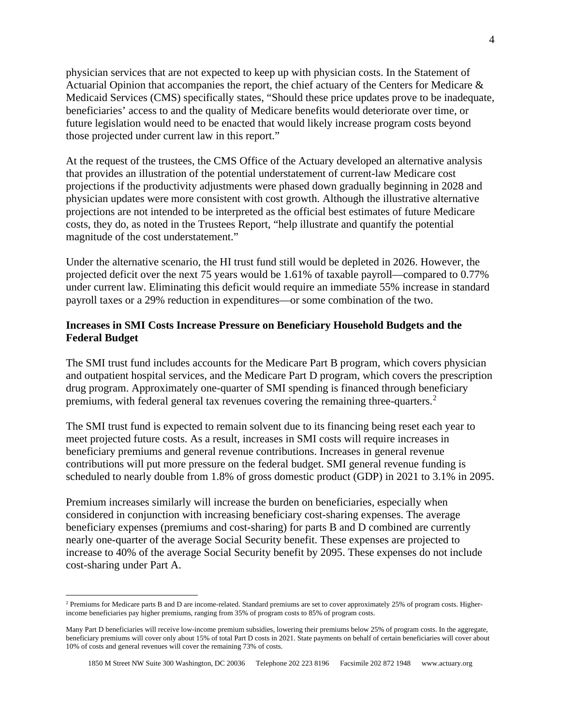physician services that are not expected to keep up with physician costs. In the Statement of Actuarial Opinion that accompanies the report, the chief actuary of the Centers for Medicare & Medicaid Services (CMS) specifically states, "Should these price updates prove to be inadequate, beneficiaries' access to and the quality of Medicare benefits would deteriorate over time, or future legislation would need to be enacted that would likely increase program costs beyond those projected under current law in this report."

At the request of the trustees, the CMS Office of the Actuary developed an alternative analysis that provides an illustration of the potential understatement of current-law Medicare cost projections if the productivity adjustments were phased down gradually beginning in 2028 and physician updates were more consistent with cost growth. Although the illustrative alternative projections are not intended to be interpreted as the official best estimates of future Medicare costs, they do, as noted in the Trustees Report, "help illustrate and quantify the potential magnitude of the cost understatement."

Under the alternative scenario, the HI trust fund still would be depleted in 2026. However, the projected deficit over the next 75 years would be 1.61% of taxable payroll—compared to 0.77% under current law. Eliminating this deficit would require an immediate 55% increase in standard payroll taxes or a 29% reduction in expenditures—or some combination of the two.

#### **Increases in SMI Costs Increase Pressure on Beneficiary Household Budgets and the Federal Budget**

The SMI trust fund includes accounts for the Medicare Part B program, which covers physician and outpatient hospital services, and the Medicare Part D program, which covers the prescription drug program. Approximately one-quarter of SMI spending is financed through beneficiary premiums, with federal general tax revenues covering the remaining three-quarters.<sup>[2](#page-3-0)</sup>

The SMI trust fund is expected to remain solvent due to its financing being reset each year to meet projected future costs. As a result, increases in SMI costs will require increases in beneficiary premiums and general revenue contributions. Increases in general revenue contributions will put more pressure on the federal budget. SMI general revenue funding is scheduled to nearly double from 1.8% of gross domestic product (GDP) in 2021 to 3.1% in 2095.

Premium increases similarly will increase the burden on beneficiaries, especially when considered in conjunction with increasing beneficiary cost-sharing expenses. The average beneficiary expenses (premiums and cost-sharing) for parts B and D combined are currently nearly one-quarter of the average Social Security benefit. These expenses are projected to increase to 40% of the average Social Security benefit by 2095. These expenses do not include cost-sharing under Part A.

<span id="page-3-0"></span><sup>&</sup>lt;sup>2</sup> Premiums for Medicare parts B and D are income-related. Standard premiums are set to cover approximately 25% of program costs. Higherincome beneficiaries pay higher premiums, ranging from 35% of program costs to 85% of program costs.

Many Part D beneficiaries will receive low-income premium subsidies, lowering their premiums below 25% of program costs. In the aggregate, beneficiary premiums will cover only about 15% of total Part D costs in 2021. State payments on behalf of certain beneficiaries will cover about 10% of costs and general revenues will cover the remaining 73% of costs.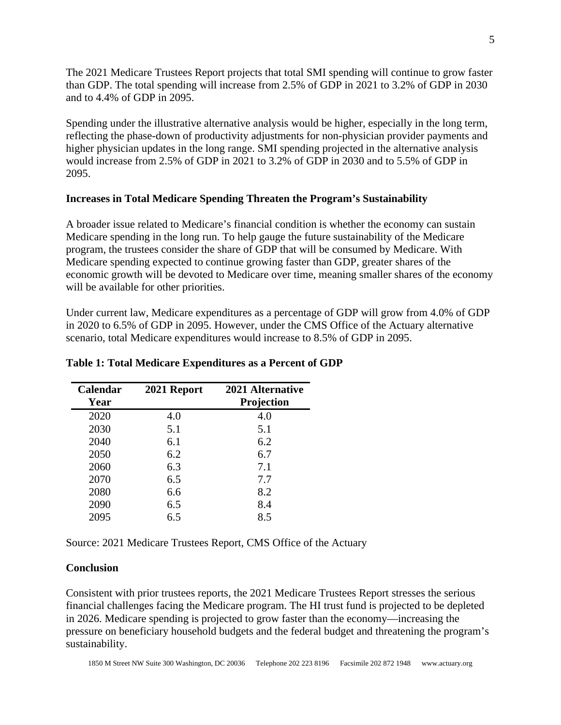The 2021 Medicare Trustees Report projects that total SMI spending will continue to grow faster than GDP. The total spending will increase from 2.5% of GDP in 2021 to 3.2% of GDP in 2030 and to 4.4% of GDP in 2095.

Spending under the illustrative alternative analysis would be higher, especially in the long term, reflecting the phase-down of productivity adjustments for non-physician provider payments and higher physician updates in the long range. SMI spending projected in the alternative analysis would increase from 2.5% of GDP in 2021 to 3.2% of GDP in 2030 and to 5.5% of GDP in 2095.

#### **Increases in Total Medicare Spending Threaten the Program's Sustainability**

A broader issue related to Medicare's financial condition is whether the economy can sustain Medicare spending in the long run. To help gauge the future sustainability of the Medicare program, the trustees consider the share of GDP that will be consumed by Medicare. With Medicare spending expected to continue growing faster than GDP, greater shares of the economic growth will be devoted to Medicare over time, meaning smaller shares of the economy will be available for other priorities.

Under current law, Medicare expenditures as a percentage of GDP will grow from 4.0% of GDP in 2020 to 6.5% of GDP in 2095. However, under the CMS Office of the Actuary alternative scenario, total Medicare expenditures would increase to 8.5% of GDP in 2095.

| <b>Calendar</b><br>Year | 2021 Report | 2021 Alternative<br><b>Projection</b> |
|-------------------------|-------------|---------------------------------------|
| 2020                    | 4.0         | 4.0                                   |
| 2030                    | 5.1         | 5.1                                   |
| 2040                    | 6.1         | 6.2                                   |
| 2050                    | 6.2         | 6.7                                   |
| 2060                    | 6.3         | 7.1                                   |
| 2070                    | 6.5         | 7.7                                   |
| 2080                    | 6.6         | 8.2                                   |
| 2090                    | 6.5         | 8.4                                   |
| 2095                    | 6.5         | 8.5                                   |

#### **Table 1: Total Medicare Expenditures as a Percent of GDP**

Source: 2021 Medicare Trustees Report, CMS Office of the Actuary

#### **Conclusion**

Consistent with prior trustees reports, the 2021 Medicare Trustees Report stresses the serious financial challenges facing the Medicare program. The HI trust fund is projected to be depleted in 2026. Medicare spending is projected to grow faster than the economy—increasing the pressure on beneficiary household budgets and the federal budget and threatening the program's sustainability.